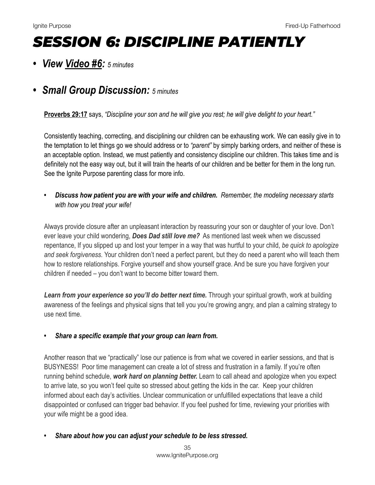## *SESSION 6: DISCIPLINE PATIENTLY*

*• View [Video #6:](https://youtu.be/_LEOxU2lYIQ) 5 minutes*

## *• Small Group Discussion: 5 minutes*

**[Proverbs 29:17](https://www.biblegateway.com/passage/?search=Proverbs+29:17&version=NIV)** says, *"Discipline your son and he will give you rest; he will give delight to your heart."* 

Consistently teaching, correcting, and disciplining our children can be exhausting work. We can easily give in to the temptation to let things go we should address or to *"parent"* by simply barking orders, and neither of these is an acceptable option. Instead, we must patiently and consistency discipline our children. This takes time and is definitely not the easy way out, but it will train the hearts of our children and be better for them in the long run. See the Ignite Purpose parenting class for more info.

*• Discuss how patient you are with your wife and children. Remember, the modeling necessary starts with how you treat your wife!*

Always provide closure after an unpleasant interaction by reassuring your son or daughter of your love. Don't ever leave your child wondering, *Does Dad still love me?* As mentioned last week when we discussed repentance, If you slipped up and lost your temper in a way that was hurtful to your child, *be quick to apologize and seek forgiveness.* Your children don't need a perfect parent, but they do need a parent who will teach them how to restore relationships. Forgive yourself and show yourself grace. And be sure you have forgiven your children if needed – you don't want to become bitter toward them.

Learn from your experience so you'll do better next time. Through your spiritual growth, work at building awareness of the feelings and physical signs that tell you you're growing angry, and plan a calming strategy to use next time.

## *• Share a specific example that your group can learn from.*

Another reason that we "practically" lose our patience is from what we covered in earlier sessions, and that is BUSYNESS! Poor time management can create a lot of stress and frustration in a family. If you're often running behind schedule, *work hard on planning better.* Learn to call ahead and apologize when you expect to arrive late, so you won't feel quite so stressed about getting the kids in the car. Keep your children informed about each day's activities. Unclear communication or unfulfilled expectations that leave a child disappointed or confused can trigger bad behavior. If you feel pushed for time, reviewing your priorities with your wife might be a good idea.

*• Share about how you can adjust your schedule to be less stressed.*